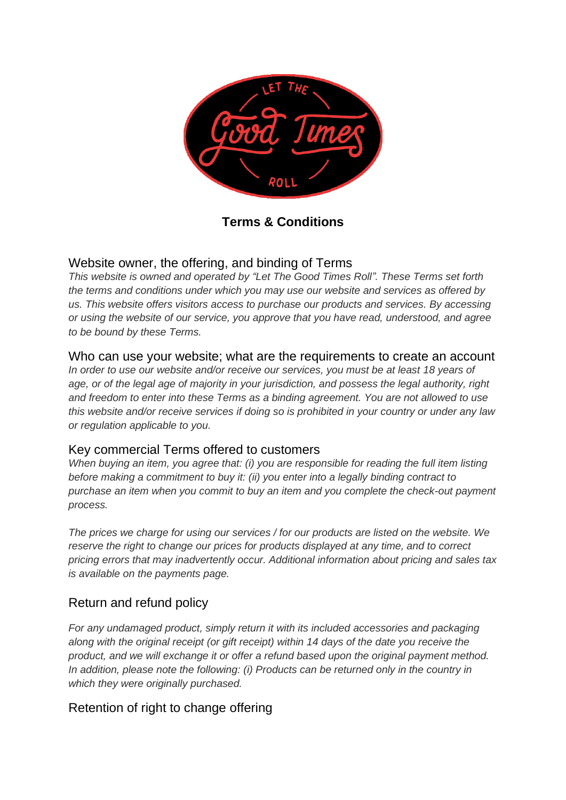

**Terms & Conditions**

# Website owner, the offering, and binding of Terms

*This website is owned and operated by "Let The Good Times Roll". These Terms set forth the terms and conditions under which you may use our website and services as offered by us. This website offers visitors access to purchase our products and services. By accessing or using the website of our service, you approve that you have read, understood, and agree to be bound by these Terms.*

## Who can use your website; what are the requirements to create an account

*In order to use our website and/or receive our services, you must be at least 18 years of age, or of the legal age of majority in your jurisdiction, and possess the legal authority, right and freedom to enter into these Terms as a binding agreement. You are not allowed to use this website and/or receive services if doing so is prohibited in your country or under any law or regulation applicable to you.*

### Key commercial Terms offered to customers

*When buying an item, you agree that: (i) you are responsible for reading the full item listing before making a commitment to buy it: (ii) you enter into a legally binding contract to purchase an item when you commit to buy an item and you complete the check-out payment process.*

*The prices we charge for using our services / for our products are listed on the website. We reserve the right to change our prices for products displayed at any time, and to correct pricing errors that may inadvertently occur. Additional information about pricing and sales tax is available on the payments page.*

# Return and refund policy

*For any undamaged product, simply return it with its included accessories and packaging along with the original receipt (or gift receipt) within 14 days of the date you receive the product, and we will exchange it or offer a refund based upon the original payment method.*  In addition, please note the following: (i) Products can be returned only in the country in *which they were originally purchased.*

# Retention of right to change offering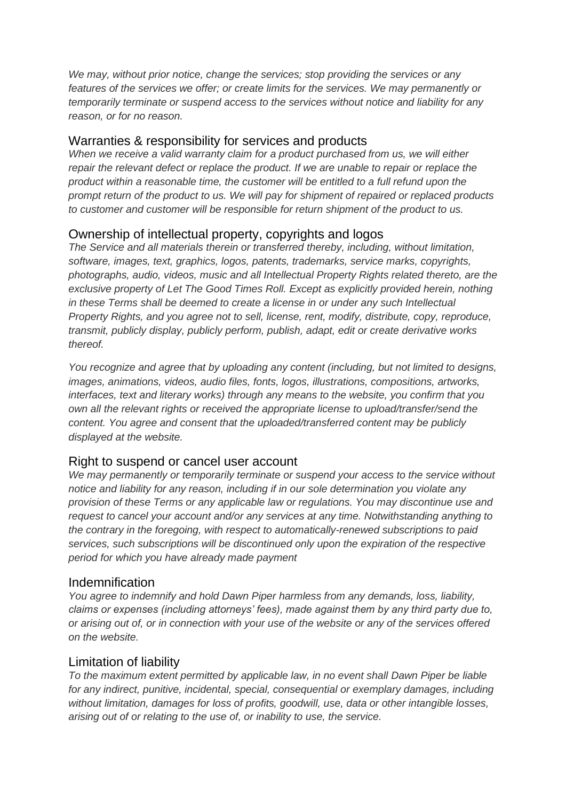*We may, without prior notice, change the services; stop providing the services or any features of the services we offer; or create limits for the services. We may permanently or temporarily terminate or suspend access to the services without notice and liability for any reason, or for no reason.*

#### Warranties & responsibility for services and products

*When we receive a valid warranty claim for a product purchased from us, we will either repair the relevant defect or replace the product. If we are unable to repair or replace the product within a reasonable time, the customer will be entitled to a full refund upon the prompt return of the product to us. We will pay for shipment of repaired or replaced products to customer and customer will be responsible for return shipment of the product to us.*

#### Ownership of intellectual property, copyrights and logos

*The Service and all materials therein or transferred thereby, including, without limitation, software, images, text, graphics, logos, patents, trademarks, service marks, copyrights, photographs, audio, videos, music and all Intellectual Property Rights related thereto, are the exclusive property of Let The Good Times Roll. Except as explicitly provided herein, nothing in these Terms shall be deemed to create a license in or under any such Intellectual Property Rights, and you agree not to sell, license, rent, modify, distribute, copy, reproduce, transmit, publicly display, publicly perform, publish, adapt, edit or create derivative works thereof.*

*You recognize and agree that by uploading any content (including, but not limited to designs, images, animations, videos, audio files, fonts, logos, illustrations, compositions, artworks, interfaces, text and literary works) through any means to the website, you confirm that you own all the relevant rights or received the appropriate license to upload/transfer/send the content. You agree and consent that the uploaded/transferred content may be publicly displayed at the website.*

### Right to suspend or cancel user account

*We may permanently or temporarily terminate or suspend your access to the service without notice and liability for any reason, including if in our sole determination you violate any provision of these Terms or any applicable law or regulations. You may discontinue use and request to cancel your account and/or any services at any time. Notwithstanding anything to the contrary in the foregoing, with respect to automatically-renewed subscriptions to paid services, such subscriptions will be discontinued only upon the expiration of the respective period for which you have already made payment*

#### Indemnification

*You agree to indemnify and hold Dawn Piper harmless from any demands, loss, liability, claims or expenses (including attorneys' fees), made against them by any third party due to, or arising out of, or in connection with your use of the website or any of the services offered on the website.*

#### Limitation of liability

*To the maximum extent permitted by applicable law, in no event shall Dawn Piper be liable for any indirect, punitive, incidental, special, consequential or exemplary damages, including without limitation, damages for loss of profits, goodwill, use, data or other intangible losses, arising out of or relating to the use of, or inability to use, the service.*